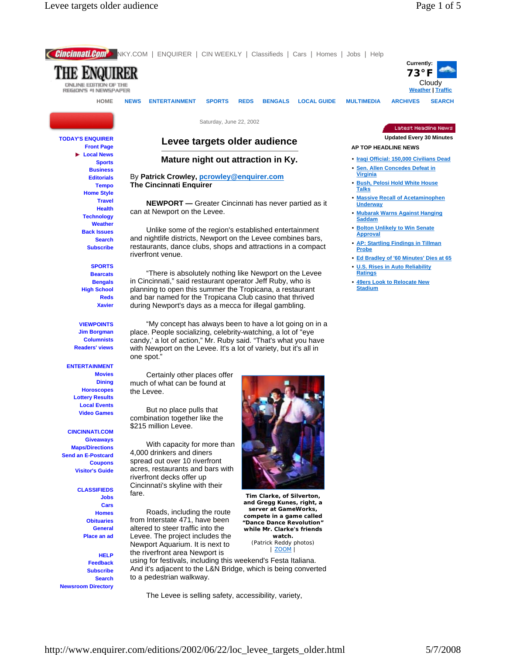

The Levee is selling safety, accessibility, variety,

http://www.enquirer.com/editions/2002/06/22/loc\_levee\_targets\_older.html 5/7/2008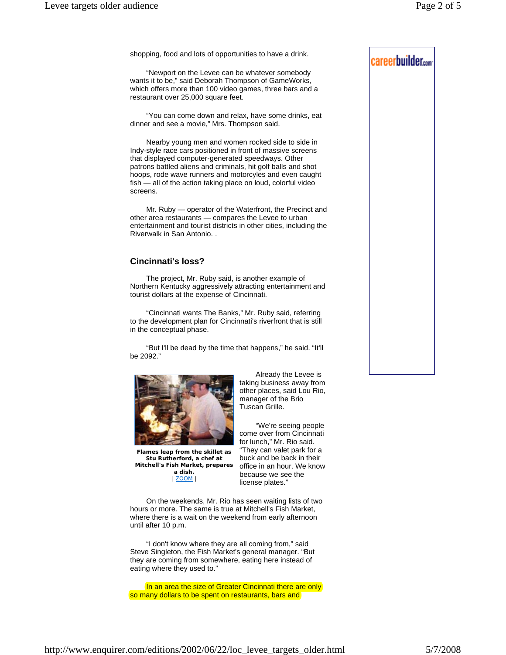shopping, food and lots of opportunities to have a drink.

 "Newport on the Levee can be whatever somebody wants it to be," said Deborah Thompson of GameWorks, which offers more than 100 video games, three bars and a restaurant over 25,000 square feet.

 "You can come down and relax, have some drinks, eat dinner and see a movie," Mrs. Thompson said.

 Nearby young men and women rocked side to side in Indy-style race cars positioned in front of massive screens that displayed computer-generated speedways. Other patrons battled aliens and criminals, hit golf balls and shot hoops, rode wave runners and motorcyles and even caught fish — all of the action taking place on loud, colorful video screens.

 Mr. Ruby — operator of the Waterfront, the Precinct and other area restaurants — compares the Levee to urban entertainment and tourist districts in other cities, including the Riverwalk in San Antonio. .

## **Cincinnati's loss?**

 The project, Mr. Ruby said, is another example of Northern Kentucky aggressively attracting entertainment and tourist dollars at the expense of Cincinnati.

 "Cincinnati wants The Banks," Mr. Ruby said, referring to the development plan for Cincinnati's riverfront that is still in the conceptual phase.

 "But I'll be dead by the time that happens," he said. "It'll be 2092."



**Flames leap from the skillet as Stu Rutherford, a chef at Mitchell's Fish Market, prepares a dish.** | ZOOM |

 Already the Levee is taking business away from other places, said Lou Rio, manager of the Brio Tuscan Grille.

 "We're seeing people come over from Cincinnati for lunch," Mr. Rio said. "They can valet park for a buck and be back in their office in an hour. We know because we see the license plates."

 On the weekends, Mr. Rio has seen waiting lists of two hours or more. The same is true at Mitchell's Fish Market, where there is a wait on the weekend from early afternoon until after 10 p.m.

 "I don't know where they are all coming from," said Steve Singleton, the Fish Market's general manager. "But they are coming from somewhere, eating here instead of eating where they used to."

In an area the size of Greater Cincinnati there are only so many dollars to be spent on restaurants, bars and

# careerbuilder.com

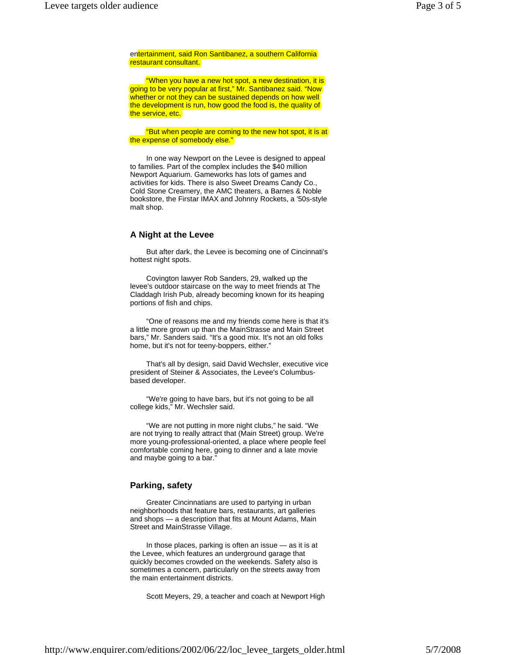entertainment, said Ron Santibanez, a southern California restaurant consultant.

 "When you have a new hot spot, a new destination, it is going to be very popular at first," Mr. Santibanez said. "Now whether or not they can be sustained depends on how well the development is run, how good the food is, the quality of the service, etc.

**"But when people are coming to the new hot spot, it is at** the expense of somebody else."

 In one way Newport on the Levee is designed to appeal to families. Part of the complex includes the \$40 million Newport Aquarium. Gameworks has lots of games and activities for kids. There is also Sweet Dreams Candy Co., Cold Stone Creamery, the AMC theaters, a Barnes & Noble bookstore, the Firstar IMAX and Johnny Rockets, a '50s-style malt shop.

#### **A Night at the Levee**

 But after dark, the Levee is becoming one of Cincinnati's hottest night spots.

 Covington lawyer Rob Sanders, 29, walked up the levee's outdoor staircase on the way to meet friends at The Claddagh Irish Pub, already becoming known for its heaping portions of fish and chips.

 "One of reasons me and my friends come here is that it's a little more grown up than the MainStrasse and Main Street bars," Mr. Sanders said. "It's a good mix. It's not an old folks home, but it's not for teeny-boppers, either."

 That's all by design, said David Wechsler, executive vice president of Steiner & Associates, the Levee's Columbusbased developer.

 "We're going to have bars, but it's not going to be all college kids," Mr. Wechsler said.

 "We are not putting in more night clubs," he said. "We are not trying to really attract that (Main Street) group. We're more young-professional-oriented, a place where people feel comfortable coming here, going to dinner and a late movie and maybe going to a bar."

## **Parking, safety**

 Greater Cincinnatians are used to partying in urban neighborhoods that feature bars, restaurants, art galleries and shops — a description that fits at Mount Adams, Main Street and MainStrasse Village.

 In those places, parking is often an issue — as it is at the Levee, which features an underground garage that quickly becomes crowded on the weekends. Safety also is sometimes a concern, particularly on the streets away from the main entertainment districts.

Scott Meyers, 29, a teacher and coach at Newport High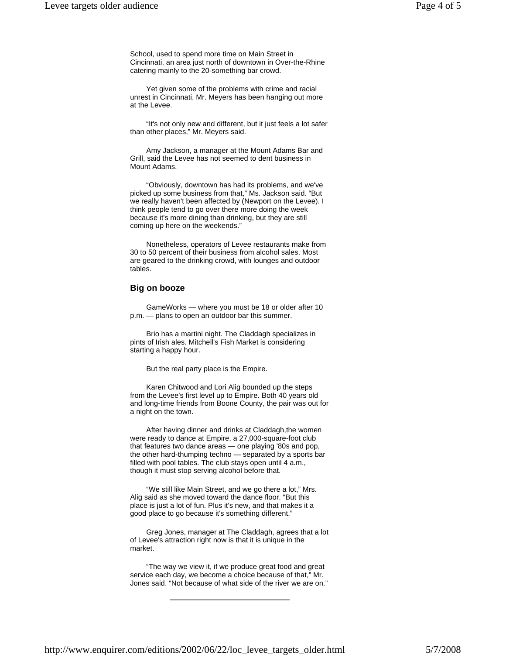School, used to spend more time on Main Street in Cincinnati, an area just north of downtown in Over-the-Rhine catering mainly to the 20-something bar crowd.

 Yet given some of the problems with crime and racial unrest in Cincinnati, Mr. Meyers has been hanging out more at the Levee.

 "It's not only new and different, but it just feels a lot safer than other places," Mr. Meyers said.

 Amy Jackson, a manager at the Mount Adams Bar and Grill, said the Levee has not seemed to dent business in Mount Adams.

 "Obviously, downtown has had its problems, and we've picked up some business from that," Ms. Jackson said. "But we really haven't been affected by (Newport on the Levee). I think people tend to go over there more doing the week because it's more dining than drinking, but they are still coming up here on the weekends."

 Nonetheless, operators of Levee restaurants make from 30 to 50 percent of their business from alcohol sales. Most are geared to the drinking crowd, with lounges and outdoor tables.

### **Big on booze**

 GameWorks — where you must be 18 or older after 10 p.m. — plans to open an outdoor bar this summer.

 Brio has a martini night. The Claddagh specializes in pints of Irish ales. Mitchell's Fish Market is considering starting a happy hour.

But the real party place is the Empire.

 Karen Chitwood and Lori Alig bounded up the steps from the Levee's first level up to Empire. Both 40 years old and long-time friends from Boone County, the pair was out for a night on the town.

 After having dinner and drinks at Claddagh,the women were ready to dance at Empire, a 27,000-square-foot club that features two dance areas — one playing '80s and pop, the other hard-thumping techno — separated by a sports bar filled with pool tables. The club stays open until 4 a.m., though it must stop serving alcohol before that.

 "We still like Main Street, and we go there a lot," Mrs. Alig said as she moved toward the dance floor. "But this place is just a lot of fun. Plus it's new, and that makes it a good place to go because it's something different."

 Greg Jones, manager at The Claddagh, agrees that a lot of Levee's attraction right now is that it is unique in the market.

 "The way we view it, if we produce great food and great service each day, we become a choice because of that," Mr. Jones said. "Not because of what side of the river we are on."